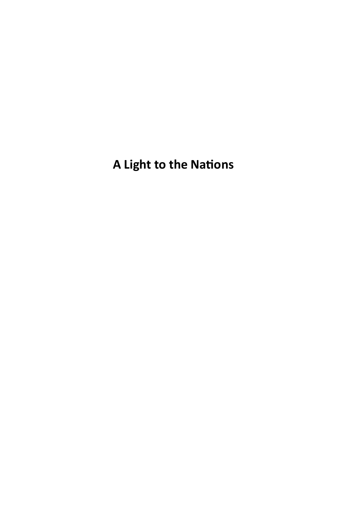**A Light to the Nations**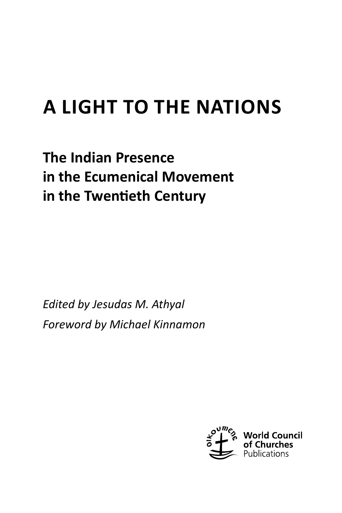# **A Light to the Nations**

**The Indian Presence in the Ecumenical Movement in the Twentieth Century**

*Edited by Jesudas M. Athyal Foreword by Michael Kinnamon*

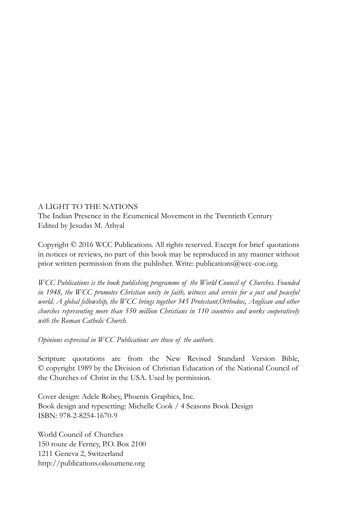A LIGHT TO THE NATIONS The Indian Presence in the Ecumenical Movement in the Twentieth Century Edited by Jesudas M. Athyal

Copyright © 2016 WCC Publications. All rights reserved. Except for brief quotations in notices or reviews, no part of this book may be reproduced in any manner without prior written permission from the publisher. Write: publications@wcc-coe.org.

*WCC Publications is the book publishing programme of the World Council of Churches. Founded*  in 1948, the WCC promotes Christian unity in faith, witness and service for a just and peaceful *world. A global fellowship, the WCC brings together 345 Protestant,Orthodox, Anglican and other churches representing more than 550 million Christians in 110 countries and works cooperatively with the Roman Catholic Church.* 

*Opinions expressed in WCC Publications are those of the authors.* 

Scripture quotations are from the New Revised Standard Version Bible, © copyright 1989 by the Division of Christian Education of the National Council of the Churches of Christ in the USA. Used by permission.

Cover design: Adele Robey, Phoenix Graphics, Inc. Book design and typesetting: Michelle Cook / 4 Seasons Book Design ISBN: 978-2-8254-1670-9

World Council of Churches 150 route de Ferney, P.O. Box 2100 1211 Geneva 2, Switzerland http://publications.oikoumene.org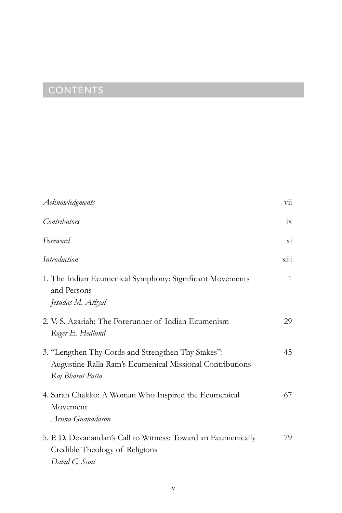# CONTENTS

| Acknowledgments                                                                                                                    | $\overline{\mathrm{vii}}$ |
|------------------------------------------------------------------------------------------------------------------------------------|---------------------------|
| <i>Contributors</i>                                                                                                                | ix                        |
| Foreword                                                                                                                           | $\overline{\mathbf{X}}$   |
| Introduction                                                                                                                       | xiii                      |
| 1. The Indian Ecumenical Symphony: Significant Movements<br>and Persons<br>Jesudas M. Athyal                                       | 1                         |
| 2. V. S. Azariah: The Forerunner of Indian Ecumenism<br>Roger E. Hedlund                                                           | 29                        |
| 3. "Lengthen Thy Cords and Strengthen Thy Stakes":<br>Augustine Ralla Ram's Ecumenical Missional Contributions<br>Raj Bharat Patta | 45                        |
| 4. Sarah Chakko: A Woman Who Inspired the Ecumenical<br>Movement<br>Aruna Gnanadason                                               | 67                        |
| 5. P. D. Devanandan's Call to Witness: Toward an Ecumenically<br>Credible Theology of Religions<br>David C. Scott                  | 79                        |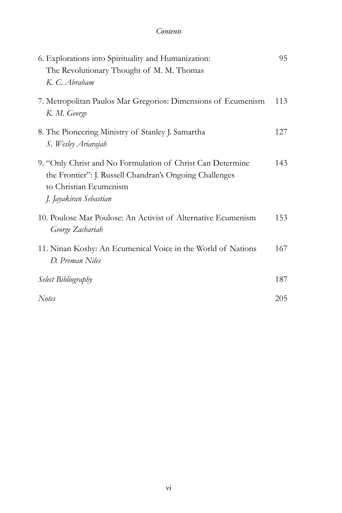# *Contents*

| 6. Explorations into Spirituality and Humanization:           | 95  |
|---------------------------------------------------------------|-----|
| The Revolutionary Thought of M. M. Thomas                     |     |
| K. C. Abraham                                                 |     |
| 7. Metropolitan Paulos Mar Gregorios: Dimensions of Ecumenism | 113 |
| K. M. George                                                  |     |
| 8. The Pioneering Ministry of Stanley J. Samartha             | 127 |
| S. Wesley Ariarajah                                           |     |
| 9. "Only Christ and No Formulation of Christ Can Determine    | 143 |
| the Frontier": J. Russell Chandran's Ongoing Challenges       |     |
| to Christian Ecumenism                                        |     |
| J. Jayakiran Sebastian                                        |     |
| 10. Poulose Mar Poulose: An Activist of Alternative Ecumenism | 153 |
| George Zachariah                                              |     |
| 11. Ninan Koshy: An Ecumenical Voice in the World of Nations  | 167 |
| D. Preman Niles                                               |     |
| Select Bibliography                                           | 187 |
| <b>Notes</b>                                                  | 205 |
|                                                               |     |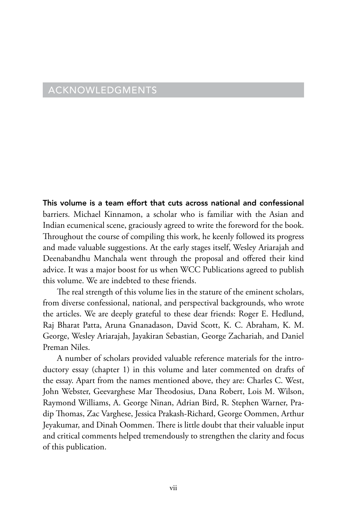# Acknowledgments

This volume is a team effort that cuts across national and confessional barriers. Michael Kinnamon, a scholar who is familiar with the Asian and Indian ecumenical scene, graciously agreed to write the foreword for the book. Throughout the course of compiling this work, he keenly followed its progress and made valuable suggestions. At the early stages itself, Wesley Ariarajah and Deenabandhu Manchala went through the proposal and offered their kind advice. It was a major boost for us when WCC Publications agreed to publish this volume. We are indebted to these friends.

The real strength of this volume lies in the stature of the eminent scholars, from diverse confessional, national, and perspectival backgrounds, who wrote the articles. We are deeply grateful to these dear friends: Roger E. Hedlund, Raj Bharat Patta, Aruna Gnanadason, David Scott, K. C. Abraham, K. M. George, Wesley Ariarajah, Jayakiran Sebastian, George Zachariah, and Daniel Preman Niles.

A number of scholars provided valuable reference materials for the introductory essay (chapter 1) in this volume and later commented on drafts of the essay. Apart from the names mentioned above, they are: Charles C. West, John Webster, Geevarghese Mar Theodosius, Dana Robert, Lois M. Wilson, Raymond Williams, A. George Ninan, Adrian Bird, R. Stephen Warner, Pradip Thomas, Zac Varghese, Jessica Prakash-Richard, George Oommen, Arthur Jeyakumar, and Dinah Oommen. There is little doubt that their valuable input and critical comments helped tremendously to strengthen the clarity and focus of this publication.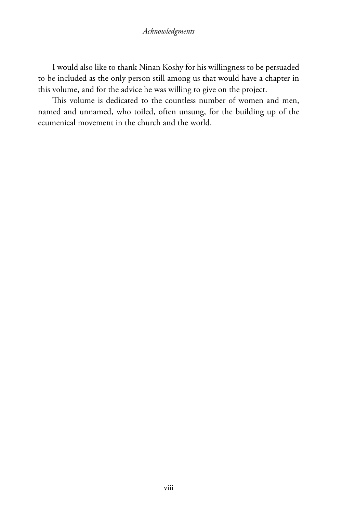### *Acknowledgments*

I would also like to thank Ninan Koshy for his willingness to be persuaded to be included as the only person still among us that would have a chapter in this volume, and for the advice he was willing to give on the project.

This volume is dedicated to the countless number of women and men, named and unnamed, who toiled, often unsung, for the building up of the ecumenical movement in the church and the world.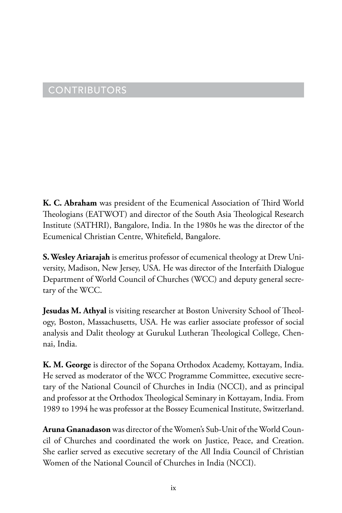# **CONTRIBUTORS**

**K. C. Abraham** was president of the Ecumenical Association of Third World Theologians (EATWOT) and director of the South Asia Theological Research Institute (SATHRI), Bangalore, India. In the 1980s he was the director of the Ecumenical Christian Centre, Whitefield, Bangalore.

**S. Wesley Ariarajah** is emeritus professor of ecumenical theology at Drew University, Madison, New Jersey, USA. He was director of the Interfaith Dialogue Department of World Council of Churches (WCC) and deputy general secretary of the WCC.

**Jesudas M. Athyal** is visiting researcher at Boston University School of Theology, Boston, Massachusetts, USA. He was earlier associate professor of social analysis and Dalit theology at Gurukul Lutheran Theological College, Chennai, India.

**K. M. George** is director of the Sopana Orthodox Academy, Kottayam, India. He served as moderator of the WCC Programme Committee, executive secretary of the National Council of Churches in India (NCCI), and as principal and professor at the Orthodox Theological Seminary in Kottayam, India. From 1989 to 1994 he was professor at the Bossey Ecumenical Institute, Switzerland.

**Aruna Gnanadason** was director of the Women's Sub-Unit of the World Council of Churches and coordinated the work on Justice, Peace, and Creation. She earlier served as executive secretary of the All India Council of Christian Women of the National Council of Churches in India (NCCI).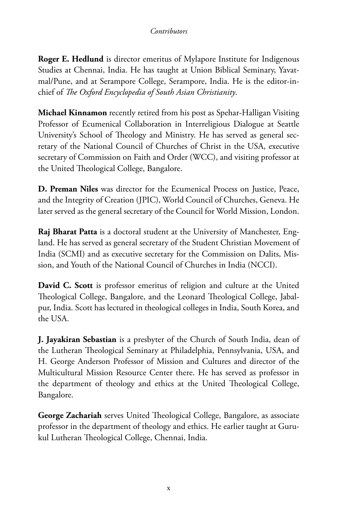## *Contributors*

**Roger E. Hedlund** is director emeritus of Mylapore Institute for Indigenous Studies at Chennai, India. He has taught at Union Biblical Seminary, Yavatmal/Pune, and at Serampore College, Serampore, India. He is the editor-inchief of *The Oxford Encyclopedia of South Asian Christianity*.

**Michael Kinnamon** recently retired from his post as Spehar-Halligan Visiting Professor of Ecumenical Collaboration in Interreligious Dialogue at Seattle University's School of Theology and Ministry. He has served as general secretary of the National Council of Churches of Christ in the USA, executive secretary of Commission on Faith and Order (WCC), and visiting professor at the United Theological College, Bangalore.

**D. Preman Niles** was director for the Ecumenical Process on Justice, Peace, and the Integrity of Creation (JPIC), World Council of Churches, Geneva. He later served as the general secretary of the Council for World Mission, London.

**Raj Bharat Patta** is a doctoral student at the University of Manchester, England. He has served as general secretary of the Student Christian Movement of India (SCMI) and as executive secretary for the Commission on Dalits, Mission, and Youth of the National Council of Churches in India (NCCI).

**David C. Scott** is professor emeritus of religion and culture at the United Theological College, Bangalore, and the Leonard Theological College, Jabalpur, India. Scott has lectured in theological colleges in India, South Korea, and the USA.

**J. Jayakiran Sebastian** is a presbyter of the Church of South India, dean of the Lutheran Theological Seminary at Philadelphia, Pennsylvania, USA, and H. George Anderson Professor of Mission and Cultures and director of the Multicultural Mission Resource Center there. He has served as professor in the department of theology and ethics at the United Theological College, Bangalore.

**George Zachariah** serves United Theological College, Bangalore, as associate professor in the department of theology and ethics. He earlier taught at Gurukul Lutheran Theological College, Chennai, India.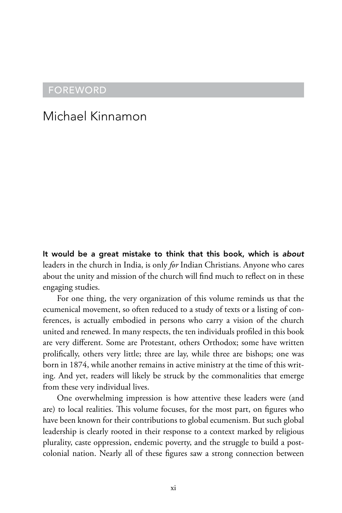# Foreword

# Michael Kinnamon

It would be a great mistake to think that this book, which is *about* leaders in the church in India, is only *for* Indian Christians. Anyone who cares about the unity and mission of the church will find much to reflect on in these engaging studies.

For one thing, the very organization of this volume reminds us that the ecumenical movement, so often reduced to a study of texts or a listing of conferences, is actually embodied in persons who carry a vision of the church united and renewed. In many respects, the ten individuals profiled in this book are very different. Some are Protestant, others Orthodox; some have written prolifically, others very little; three are lay, while three are bishops; one was born in 1874, while another remains in active ministry at the time of this writing. And yet, readers will likely be struck by the commonalities that emerge from these very individual lives.

One overwhelming impression is how attentive these leaders were (and are) to local realities. This volume focuses, for the most part, on figures who have been known for their contributions to global ecumenism. But such global leadership is clearly rooted in their response to a context marked by religious plurality, caste oppression, endemic poverty, and the struggle to build a postcolonial nation. Nearly all of these figures saw a strong connection between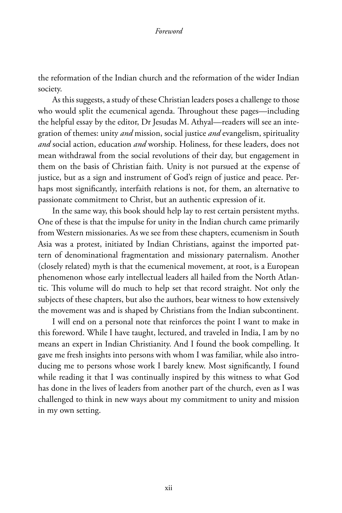#### *Foreword*

the reformation of the Indian church and the reformation of the wider Indian society.

As this suggests, a study of these Christian leaders poses a challenge to those who would split the ecumenical agenda. Throughout these pages—including the helpful essay by the editor, Dr Jesudas M. Athyal—readers will see an integration of themes: unity *and* mission, social justice *and* evangelism, spirituality *and* social action, education *and* worship. Holiness, for these leaders, does not mean withdrawal from the social revolutions of their day, but engagement in them on the basis of Christian faith. Unity is not pursued at the expense of justice, but as a sign and instrument of God's reign of justice and peace. Perhaps most significantly, interfaith relations is not, for them, an alternative to passionate commitment to Christ, but an authentic expression of it.

In the same way, this book should help lay to rest certain persistent myths. One of these is that the impulse for unity in the Indian church came primarily from Western missionaries. As we see from these chapters, ecumenism in South Asia was a protest, initiated by Indian Christians, against the imported pattern of denominational fragmentation and missionary paternalism. Another (closely related) myth is that the ecumenical movement, at root, is a European phenomenon whose early intellectual leaders all hailed from the North Atlantic. This volume will do much to help set that record straight. Not only the subjects of these chapters, but also the authors, bear witness to how extensively the movement was and is shaped by Christians from the Indian subcontinent.

I will end on a personal note that reinforces the point I want to make in this foreword. While I have taught, lectured, and traveled in India, I am by no means an expert in Indian Christianity. And I found the book compelling. It gave me fresh insights into persons with whom I was familiar, while also introducing me to persons whose work I barely knew. Most significantly, I found while reading it that I was continually inspired by this witness to what God has done in the lives of leaders from another part of the church, even as I was challenged to think in new ways about my commitment to unity and mission in my own setting.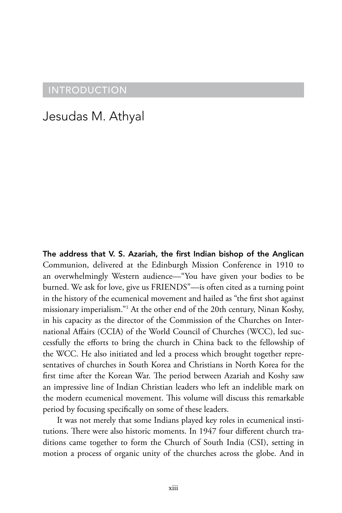# **INTRODUCTION**

# Jesudas M. Athyal

The address that V. S. Azariah, the first Indian bishop of the Anglican Communion, delivered at the Edinburgh Mission Conference in 1910 to an overwhelmingly Western audience—"You have given your bodies to be burned. We ask for love, give us FRIENDS"—is often cited as a turning point in the history of the ecumenical movement and hailed as "the first shot against missionary imperialism."1 At the other end of the 20th century, Ninan Koshy, in his capacity as the director of the Commission of the Churches on International Affairs (CCIA) of the World Council of Churches (WCC), led successfully the efforts to bring the church in China back to the fellowship of the WCC. He also initiated and led a process which brought together representatives of churches in South Korea and Christians in North Korea for the first time after the Korean War. The period between Azariah and Koshy saw an impressive line of Indian Christian leaders who left an indelible mark on the modern ecumenical movement. This volume will discuss this remarkable period by focusing specifically on some of these leaders.

It was not merely that some Indians played key roles in ecumenical institutions. There were also historic moments. In 1947 four different church traditions came together to form the Church of South India (CSI), setting in motion a process of organic unity of the churches across the globe. And in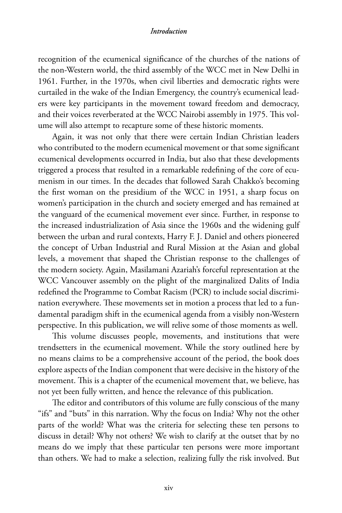recognition of the ecumenical significance of the churches of the nations of the non-Western world, the third assembly of the WCC met in New Delhi in 1961. Further, in the 1970s, when civil liberties and democratic rights were curtailed in the wake of the Indian Emergency, the country's ecumenical leaders were key participants in the movement toward freedom and democracy, and their voices reverberated at the WCC Nairobi assembly in 1975. This volume will also attempt to recapture some of these historic moments.

Again, it was not only that there were certain Indian Christian leaders who contributed to the modern ecumenical movement or that some significant ecumenical developments occurred in India, but also that these developments triggered a process that resulted in a remarkable redefining of the core of ecumenism in our times. In the decades that followed Sarah Chakko's becoming the first woman on the presidium of the WCC in 1951, a sharp focus on women's participation in the church and society emerged and has remained at the vanguard of the ecumenical movement ever since. Further, in response to the increased industrialization of Asia since the 1960s and the widening gulf between the urban and rural contexts, Harry F. J. Daniel and others pioneered the concept of Urban Industrial and Rural Mission at the Asian and global levels, a movement that shaped the Christian response to the challenges of the modern society. Again, Masilamani Azariah's forceful representation at the WCC Vancouver assembly on the plight of the marginalized Dalits of India redefined the Programme to Combat Racism (PCR) to include social discrimination everywhere. These movements set in motion a process that led to a fundamental paradigm shift in the ecumenical agenda from a visibly non-Western perspective. In this publication, we will relive some of those moments as well.

This volume discusses people, movements, and institutions that were trendsetters in the ecumenical movement. While the story outlined here by no means claims to be a comprehensive account of the period, the book does explore aspects of the Indian component that were decisive in the history of the movement. This is a chapter of the ecumenical movement that, we believe, has not yet been fully written, and hence the relevance of this publication.

The editor and contributors of this volume are fully conscious of the many "ifs" and "buts" in this narration. Why the focus on India? Why not the other parts of the world? What was the criteria for selecting these ten persons to discuss in detail? Why not others? We wish to clarify at the outset that by no means do we imply that these particular ten persons were more important than others. We had to make a selection, realizing fully the risk involved. But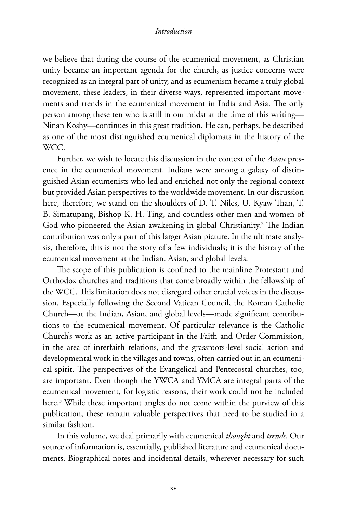we believe that during the course of the ecumenical movement, as Christian unity became an important agenda for the church, as justice concerns were recognized as an integral part of unity, and as ecumenism became a truly global movement, these leaders, in their diverse ways, represented important movements and trends in the ecumenical movement in India and Asia. The only person among these ten who is still in our midst at the time of this writing— Ninan Koshy—continues in this great tradition. He can, perhaps, be described as one of the most distinguished ecumenical diplomats in the history of the W<sub>CC</sub>

Further, we wish to locate this discussion in the context of the *Asian* presence in the ecumenical movement. Indians were among a galaxy of distinguished Asian ecumenists who led and enriched not only the regional context but provided Asian perspectives to the worldwide movement. In our discussion here, therefore, we stand on the shoulders of D. T. Niles, U. Kyaw Than, T. B. Simatupang, Bishop K. H. Ting, and countless other men and women of God who pioneered the Asian awakening in global Christianity.<sup>2</sup> The Indian contribution was only a part of this larger Asian picture. In the ultimate analysis, therefore, this is not the story of a few individuals; it is the history of the ecumenical movement at the Indian, Asian, and global levels.

The scope of this publication is confined to the mainline Protestant and Orthodox churches and traditions that come broadly within the fellowship of the WCC. This limitation does not disregard other crucial voices in the discussion. Especially following the Second Vatican Council, the Roman Catholic Church—at the Indian, Asian, and global levels—made significant contributions to the ecumenical movement. Of particular relevance is the Catholic Church's work as an active participant in the Faith and Order Commission, in the area of interfaith relations, and the grassroots-level social action and developmental work in the villages and towns, often carried out in an ecumenical spirit. The perspectives of the Evangelical and Pentecostal churches, too, are important. Even though the YWCA and YMCA are integral parts of the ecumenical movement, for logistic reasons, their work could not be included here.3 While these important angles do not come within the purview of this publication, these remain valuable perspectives that need to be studied in a similar fashion.

In this volume, we deal primarily with ecumenical *thought* and *trends*. Our source of information is, essentially, published literature and ecumenical documents. Biographical notes and incidental details, wherever necessary for such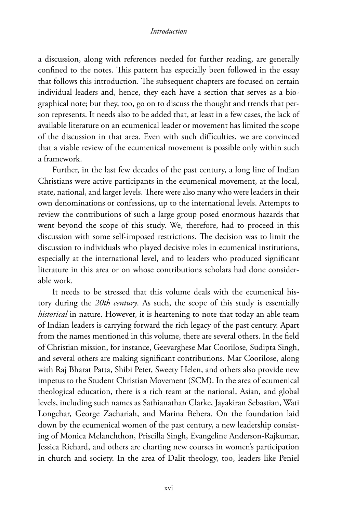a discussion, along with references needed for further reading, are generally confined to the notes. This pattern has especially been followed in the essay that follows this introduction. The subsequent chapters are focused on certain individual leaders and, hence, they each have a section that serves as a biographical note; but they, too, go on to discuss the thought and trends that person represents. It needs also to be added that, at least in a few cases, the lack of available literature on an ecumenical leader or movement has limited the scope of the discussion in that area. Even with such difficulties, we are convinced that a viable review of the ecumenical movement is possible only within such a framework.

Further, in the last few decades of the past century, a long line of Indian Christians were active participants in the ecumenical movement, at the local, state, national, and larger levels. There were also many who were leaders in their own denominations or confessions, up to the international levels. Attempts to review the contributions of such a large group posed enormous hazards that went beyond the scope of this study. We, therefore, had to proceed in this discussion with some self-imposed restrictions. The decision was to limit the discussion to individuals who played decisive roles in ecumenical institutions, especially at the international level, and to leaders who produced significant literature in this area or on whose contributions scholars had done considerable work.

It needs to be stressed that this volume deals with the ecumenical history during the *20th century*. As such, the scope of this study is essentially *historical* in nature. However, it is heartening to note that today an able team of Indian leaders is carrying forward the rich legacy of the past century. Apart from the names mentioned in this volume, there are several others. In the field of Christian mission, for instance, Geevarghese Mar Coorilose, Sudipta Singh, and several others are making significant contributions. Mar Coorilose, along with Raj Bharat Patta, Shibi Peter, Sweety Helen, and others also provide new impetus to the Student Christian Movement (SCM). In the area of ecumenical theological education, there is a rich team at the national, Asian, and global levels, including such names as Sathianathan Clarke, Jayakiran Sebastian, Wati Longchar, George Zachariah, and Marina Behera. On the foundation laid down by the ecumenical women of the past century, a new leadership consisting of Monica Melanchthon, Priscilla Singh, Evangeline Anderson-Rajkumar, Jessica Richard, and others are charting new courses in women's participation in church and society. In the area of Dalit theology, too, leaders like Peniel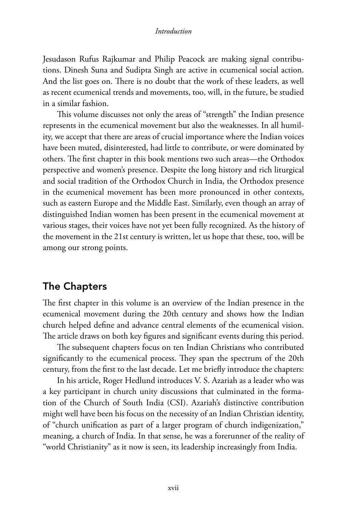Jesudason Rufus Rajkumar and Philip Peacock are making signal contributions. Dinesh Suna and Sudipta Singh are active in ecumenical social action. And the list goes on. There is no doubt that the work of these leaders, as well as recent ecumenical trends and movements, too, will, in the future, be studied in a similar fashion.

This volume discusses not only the areas of "strength" the Indian presence represents in the ecumenical movement but also the weaknesses. In all humility, we accept that there are areas of crucial importance where the Indian voices have been muted, disinterested, had little to contribute, or were dominated by others. The first chapter in this book mentions two such areas—the Orthodox perspective and women's presence. Despite the long history and rich liturgical and social tradition of the Orthodox Church in India, the Orthodox presence in the ecumenical movement has been more pronounced in other contexts, such as eastern Europe and the Middle East. Similarly, even though an array of distinguished Indian women has been present in the ecumenical movement at various stages, their voices have not yet been fully recognized. As the history of the movement in the 21st century is written, let us hope that these, too, will be among our strong points.

# The Chapters

The first chapter in this volume is an overview of the Indian presence in the ecumenical movement during the 20th century and shows how the Indian church helped define and advance central elements of the ecumenical vision. The article draws on both key figures and significant events during this period.

The subsequent chapters focus on ten Indian Christians who contributed significantly to the ecumenical process. They span the spectrum of the 20th century, from the first to the last decade. Let me briefly introduce the chapters:

In his article, Roger Hedlund introduces V. S. Azariah as a leader who was a key participant in church unity discussions that culminated in the formation of the Church of South India (CSI). Azariah's distinctive contribution might well have been his focus on the necessity of an Indian Christian identity, of "church unification as part of a larger program of church indigenization," meaning, a church of India. In that sense, he was a forerunner of the reality of "world Christianity" as it now is seen, its leadership increasingly from India.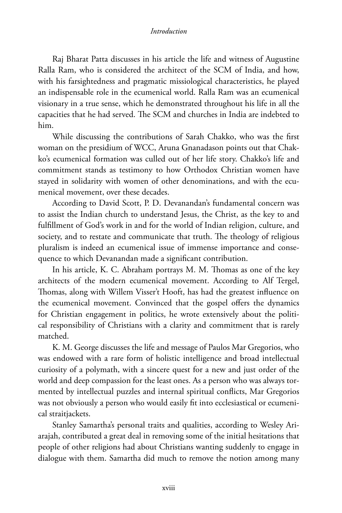Raj Bharat Patta discusses in his article the life and witness of Augustine Ralla Ram, who is considered the architect of the SCM of India, and how, with his farsightedness and pragmatic missiological characteristics, he played an indispensable role in the ecumenical world. Ralla Ram was an ecumenical visionary in a true sense, which he demonstrated throughout his life in all the capacities that he had served. The SCM and churches in India are indebted to him.

While discussing the contributions of Sarah Chakko, who was the first woman on the presidium of WCC, Aruna Gnanadason points out that Chakko's ecumenical formation was culled out of her life story. Chakko's life and commitment stands as testimony to how Orthodox Christian women have stayed in solidarity with women of other denominations, and with the ecumenical movement, over these decades.

According to David Scott, P. D. Devanandan's fundamental concern was to assist the Indian church to understand Jesus, the Christ, as the key to and fulfillment of God's work in and for the world of Indian religion, culture, and society, and to restate and communicate that truth. The theology of religious pluralism is indeed an ecumenical issue of immense importance and consequence to which Devanandan made a significant contribution.

In his article, K. C. Abraham portrays M. M. Thomas as one of the key architects of the modern ecumenical movement. According to Alf Tergel, Thomas, along with Willem Visser't Hooft, has had the greatest influence on the ecumenical movement. Convinced that the gospel offers the dynamics for Christian engagement in politics, he wrote extensively about the political responsibility of Christians with a clarity and commitment that is rarely matched.

K. M. George discusses the life and message of Paulos Mar Gregorios, who was endowed with a rare form of holistic intelligence and broad intellectual curiosity of a polymath, with a sincere quest for a new and just order of the world and deep compassion for the least ones. As a person who was always tormented by intellectual puzzles and internal spiritual conflicts, Mar Gregorios was not obviously a person who would easily fit into ecclesiastical or ecumenical straitjackets.

Stanley Samartha's personal traits and qualities, according to Wesley Ariarajah, contributed a great deal in removing some of the initial hesitations that people of other religions had about Christians wanting suddenly to engage in dialogue with them. Samartha did much to remove the notion among many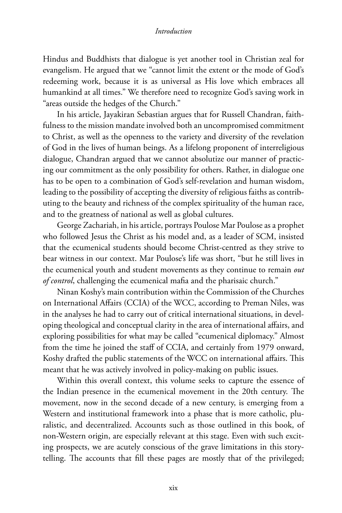Hindus and Buddhists that dialogue is yet another tool in Christian zeal for evangelism. He argued that we "cannot limit the extent or the mode of God's redeeming work, because it is as universal as His love which embraces all humankind at all times." We therefore need to recognize God's saving work in "areas outside the hedges of the Church."

In his article, Jayakiran Sebastian argues that for Russell Chandran, faithfulness to the mission mandate involved both an uncompromised commitment to Christ, as well as the openness to the variety and diversity of the revelation of God in the lives of human beings. As a lifelong proponent of interreligious dialogue, Chandran argued that we cannot absolutize our manner of practicing our commitment as the only possibility for others. Rather, in dialogue one has to be open to a combination of God's self-revelation and human wisdom, leading to the possibility of accepting the diversity of religious faiths as contributing to the beauty and richness of the complex spirituality of the human race, and to the greatness of national as well as global cultures.

George Zachariah, in his article, portrays Poulose Mar Poulose as a prophet who followed Jesus the Christ as his model and, as a leader of SCM, insisted that the ecumenical students should become Christ-centred as they strive to bear witness in our context. Mar Poulose's life was short, "but he still lives in the ecumenical youth and student movements as they continue to remain *out of control*, challenging the ecumenical mafia and the pharisaic church."

Ninan Koshy's main contribution within the Commission of the Churches on International Affairs (CCIA) of the WCC, according to Preman Niles, was in the analyses he had to carry out of critical international situations, in developing theological and conceptual clarity in the area of international affairs, and exploring possibilities for what may be called "ecumenical diplomacy." Almost from the time he joined the staff of CCIA, and certainly from 1979 onward, Koshy drafted the public statements of the WCC on international affairs. This meant that he was actively involved in policy-making on public issues.

Within this overall context, this volume seeks to capture the essence of the Indian presence in the ecumenical movement in the 20th century. The movement, now in the second decade of a new century, is emerging from a Western and institutional framework into a phase that is more catholic, pluralistic, and decentralized. Accounts such as those outlined in this book, of non-Western origin, are especially relevant at this stage. Even with such exciting prospects, we are acutely conscious of the grave limitations in this storytelling. The accounts that fill these pages are mostly that of the privileged;